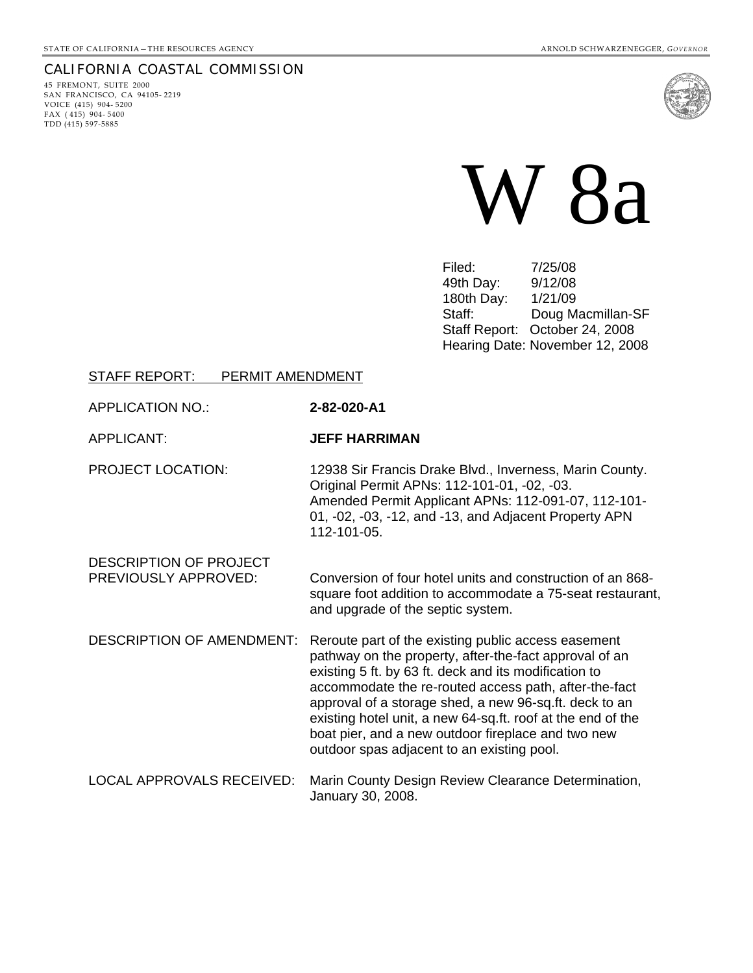## CALIFORNIA COASTAL COMMISSION

45 FREMONT, SUITE 2000 SAN FRANCISCO, CA 94105- 2219 VOICE (415) 904- 5200 FAX  $(415)$  904-5400 TDD (415) 597-5885



W 8a

Filed: 7/25/08 49th Day: 9/12/08 180th Day: 1/21/09 Staff: Doug Macmillan-SF Staff Report: October 24, 2008 Hearing Date: November 12, 2008

#### STAFF REPORT: PERMIT AMENDMENT

#### APPLICATION NO.: **2-82-020-A1**

#### APPLICANT: **JEFF HARRIMAN**

PROJECT LOCATION: 12938 Sir Francis Drake Blvd., Inverness, Marin County. Original Permit APNs: 112-101-01, -02, -03. Amended Permit Applicant APNs: 112-091-07, 112-101- 01, -02, -03, -12, and -13, and Adjacent Property APN 112-101-05.

DESCRIPTION OF PROJECT PREVIOUSLY APPROVED: Conversion of four hotel units and construction of an 868 square foot addition to accommodate a 75-seat restaurant, and upgrade of the septic system.

- DESCRIPTION OF AMENDMENT: Reroute part of the existing public access easement pathway on the property, after-the-fact approval of an existing 5 ft. by 63 ft. deck and its modification to accommodate the re-routed access path, after-the-fact approval of a storage shed, a new 96-sq.ft. deck to an existing hotel unit, a new 64-sq.ft. roof at the end of the boat pier, and a new outdoor fireplace and two new outdoor spas adjacent to an existing pool.
- LOCAL APPROVALS RECEIVED: Marin County Design Review Clearance Determination, January 30, 2008.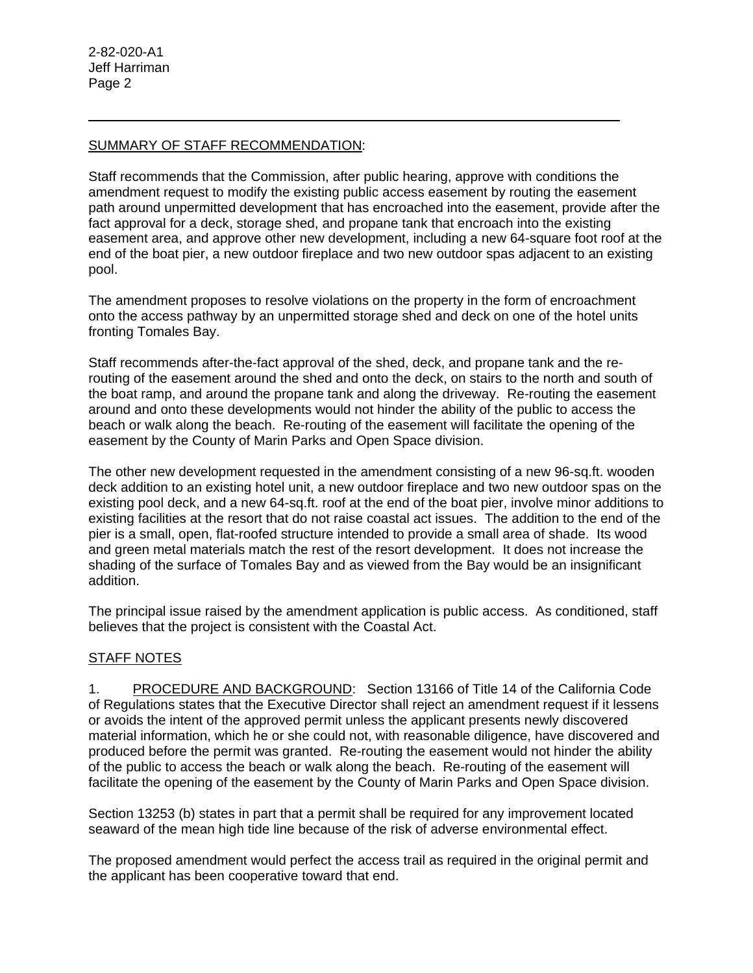$\overline{a}$ 

## SUMMARY OF STAFF RECOMMENDATION:

Staff recommends that the Commission, after public hearing, approve with conditions the amendment request to modify the existing public access easement by routing the easement path around unpermitted development that has encroached into the easement, provide after the fact approval for a deck, storage shed, and propane tank that encroach into the existing easement area, and approve other new development, including a new 64-square foot roof at the end of the boat pier, a new outdoor fireplace and two new outdoor spas adjacent to an existing pool.

The amendment proposes to resolve violations on the property in the form of encroachment onto the access pathway by an unpermitted storage shed and deck on one of the hotel units fronting Tomales Bay.

Staff recommends after-the-fact approval of the shed, deck, and propane tank and the rerouting of the easement around the shed and onto the deck, on stairs to the north and south of the boat ramp, and around the propane tank and along the driveway. Re-routing the easement around and onto these developments would not hinder the ability of the public to access the beach or walk along the beach. Re-routing of the easement will facilitate the opening of the easement by the County of Marin Parks and Open Space division.

The other new development requested in the amendment consisting of a new 96-sq.ft. wooden deck addition to an existing hotel unit, a new outdoor fireplace and two new outdoor spas on the existing pool deck, and a new 64-sq.ft. roof at the end of the boat pier, involve minor additions to existing facilities at the resort that do not raise coastal act issues. The addition to the end of the pier is a small, open, flat-roofed structure intended to provide a small area of shade. Its wood and green metal materials match the rest of the resort development. It does not increase the shading of the surface of Tomales Bay and as viewed from the Bay would be an insignificant addition.

The principal issue raised by the amendment application is public access. As conditioned, staff believes that the project is consistent with the Coastal Act.

# STAFF NOTES

1. PROCEDURE AND BACKGROUND: Section 13166 of Title 14 of the California Code of Regulations states that the Executive Director shall reject an amendment request if it lessens or avoids the intent of the approved permit unless the applicant presents newly discovered material information, which he or she could not, with reasonable diligence, have discovered and produced before the permit was granted. Re-routing the easement would not hinder the ability of the public to access the beach or walk along the beach. Re-routing of the easement will facilitate the opening of the easement by the County of Marin Parks and Open Space division.

Section 13253 (b) states in part that a permit shall be required for any improvement located seaward of the mean high tide line because of the risk of adverse environmental effect.

The proposed amendment would perfect the access trail as required in the original permit and the applicant has been cooperative toward that end.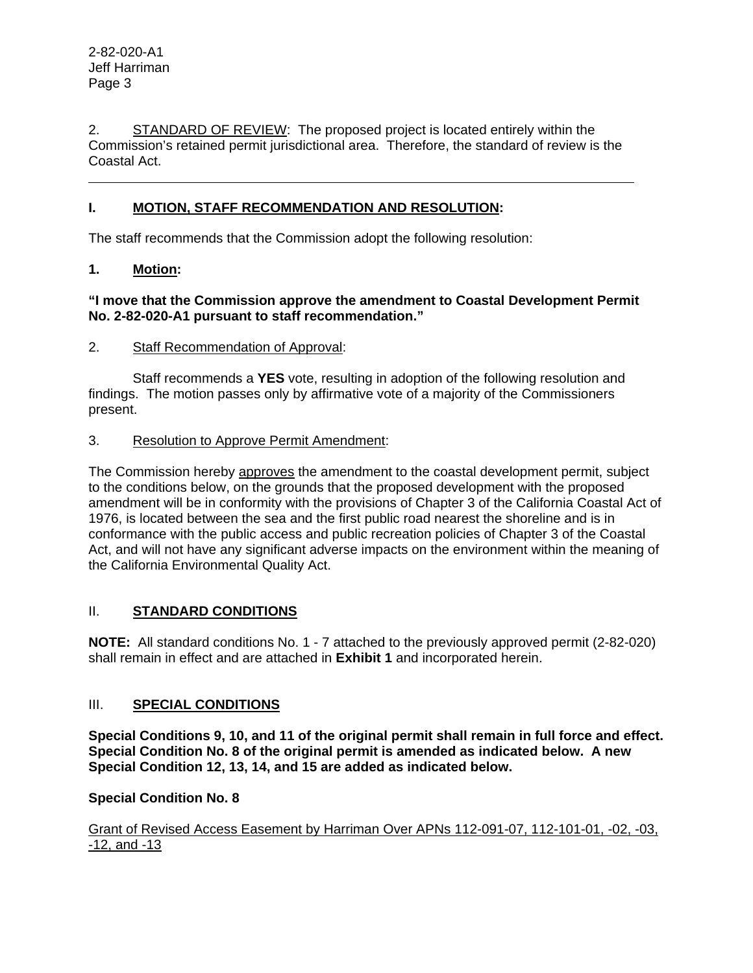l

2. STANDARD OF REVIEW: The proposed project is located entirely within the Commission's retained permit jurisdictional area. Therefore, the standard of review is the Coastal Act.

# **I. MOTION, STAFF RECOMMENDATION AND RESOLUTION:**

The staff recommends that the Commission adopt the following resolution:

## **1. Motion:**

## **"I move that the Commission approve the amendment to Coastal Development Permit No. 2-82-020-A1 pursuant to staff recommendation."**

## 2. Staff Recommendation of Approval:

 Staff recommends a **YES** vote, resulting in adoption of the following resolution and findings. The motion passes only by affirmative vote of a majority of the Commissioners present.

## 3. Resolution to Approve Permit Amendment:

The Commission hereby approves the amendment to the coastal development permit, subject to the conditions below, on the grounds that the proposed development with the proposed amendment will be in conformity with the provisions of Chapter 3 of the California Coastal Act of 1976, is located between the sea and the first public road nearest the shoreline and is in conformance with the public access and public recreation policies of Chapter 3 of the Coastal Act, and will not have any significant adverse impacts on the environment within the meaning of the California Environmental Quality Act.

# II. **STANDARD CONDITIONS**

**NOTE:** All standard conditions No. 1 - 7 attached to the previously approved permit (2-82-020) shall remain in effect and are attached in **Exhibit 1** and incorporated herein.

# III. **SPECIAL CONDITIONS**

**Special Conditions 9, 10, and 11 of the original permit shall remain in full force and effect. Special Condition No. 8 of the original permit is amended as indicated below. A new Special Condition 12, 13, 14, and 15 are added as indicated below.** 

# **Special Condition No. 8**

Grant of Revised Access Easement by Harriman Over APNs 112-091-07, 112-101-01, -02, -03, -12, and -13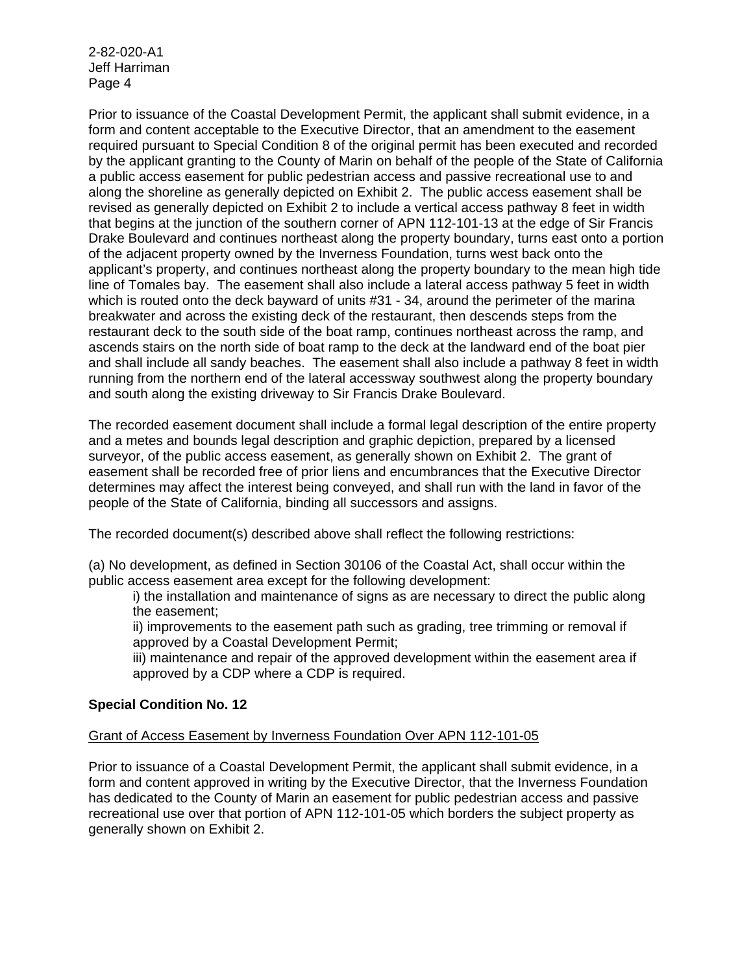Prior to issuance of the Coastal Development Permit, the applicant shall submit evidence, in a form and content acceptable to the Executive Director, that an amendment to the easement required pursuant to Special Condition 8 of the original permit has been executed and recorded by the applicant granting to the County of Marin on behalf of the people of the State of California a public access easement for public pedestrian access and passive recreational use to and along the shoreline as generally depicted on Exhibit 2. The public access easement shall be revised as generally depicted on Exhibit 2 to include a vertical access pathway 8 feet in width that begins at the junction of the southern corner of APN 112-101-13 at the edge of Sir Francis Drake Boulevard and continues northeast along the property boundary, turns east onto a portion of the adjacent property owned by the Inverness Foundation, turns west back onto the applicant's property, and continues northeast along the property boundary to the mean high tide line of Tomales bay. The easement shall also include a lateral access pathway 5 feet in width which is routed onto the deck bayward of units #31 - 34, around the perimeter of the marina breakwater and across the existing deck of the restaurant, then descends steps from the restaurant deck to the south side of the boat ramp, continues northeast across the ramp, and ascends stairs on the north side of boat ramp to the deck at the landward end of the boat pier and shall include all sandy beaches. The easement shall also include a pathway 8 feet in width running from the northern end of the lateral accessway southwest along the property boundary and south along the existing driveway to Sir Francis Drake Boulevard.

The recorded easement document shall include a formal legal description of the entire property and a metes and bounds legal description and graphic depiction, prepared by a licensed surveyor, of the public access easement, as generally shown on Exhibit 2. The grant of easement shall be recorded free of prior liens and encumbrances that the Executive Director determines may affect the interest being conveyed, and shall run with the land in favor of the people of the State of California, binding all successors and assigns.

The recorded document(s) described above shall reflect the following restrictions:

(a) No development, as defined in Section 30106 of the Coastal Act, shall occur within the public access easement area except for the following development:

i) the installation and maintenance of signs as are necessary to direct the public along the easement;

ii) improvements to the easement path such as grading, tree trimming or removal if approved by a Coastal Development Permit;

iii) maintenance and repair of the approved development within the easement area if approved by a CDP where a CDP is required.

# **Special Condition No. 12**

## Grant of Access Easement by Inverness Foundation Over APN 112-101-05

Prior to issuance of a Coastal Development Permit, the applicant shall submit evidence, in a form and content approved in writing by the Executive Director, that the Inverness Foundation has dedicated to the County of Marin an easement for public pedestrian access and passive recreational use over that portion of APN 112-101-05 which borders the subject property as generally shown on Exhibit 2.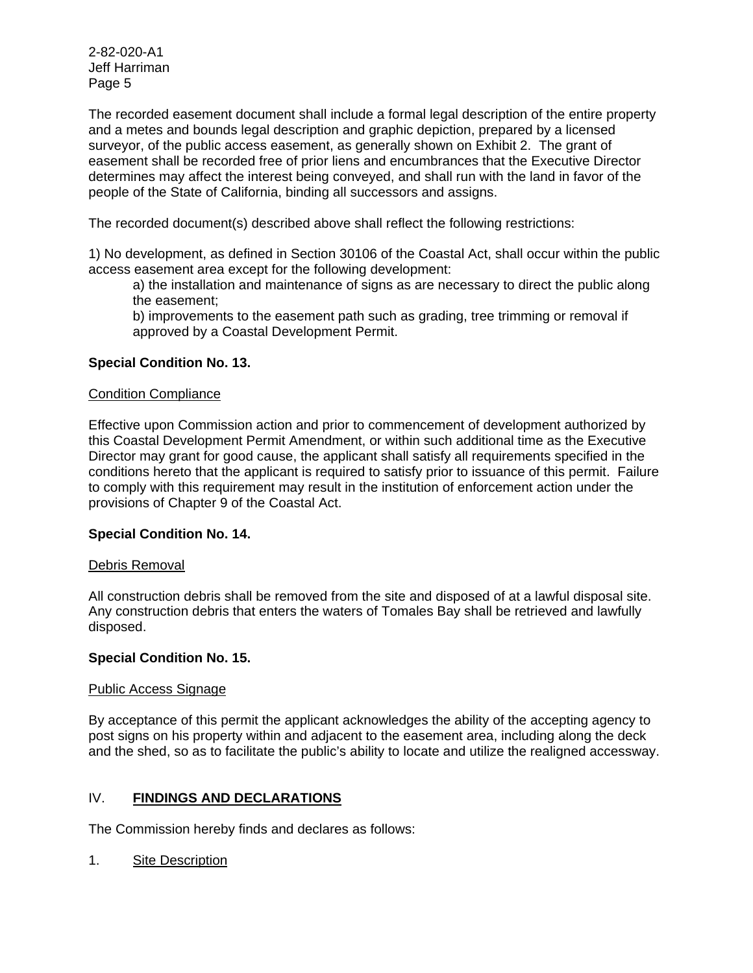The recorded easement document shall include a formal legal description of the entire property and a metes and bounds legal description and graphic depiction, prepared by a licensed surveyor, of the public access easement, as generally shown on Exhibit 2. The grant of easement shall be recorded free of prior liens and encumbrances that the Executive Director determines may affect the interest being conveyed, and shall run with the land in favor of the people of the State of California, binding all successors and assigns.

The recorded document(s) described above shall reflect the following restrictions:

1) No development, as defined in Section 30106 of the Coastal Act, shall occur within the public access easement area except for the following development:

a) the installation and maintenance of signs as are necessary to direct the public along the easement;

b) improvements to the easement path such as grading, tree trimming or removal if approved by a Coastal Development Permit.

# **Special Condition No. 13.**

## Condition Compliance

Effective upon Commission action and prior to commencement of development authorized by this Coastal Development Permit Amendment, or within such additional time as the Executive Director may grant for good cause, the applicant shall satisfy all requirements specified in the conditions hereto that the applicant is required to satisfy prior to issuance of this permit. Failure to comply with this requirement may result in the institution of enforcement action under the provisions of Chapter 9 of the Coastal Act.

## **Special Condition No. 14.**

## Debris Removal

All construction debris shall be removed from the site and disposed of at a lawful disposal site. Any construction debris that enters the waters of Tomales Bay shall be retrieved and lawfully disposed.

## **Special Condition No. 15.**

## Public Access Signage

By acceptance of this permit the applicant acknowledges the ability of the accepting agency to post signs on his property within and adjacent to the easement area, including along the deck and the shed, so as to facilitate the public's ability to locate and utilize the realigned accessway.

# IV. **FINDINGS AND DECLARATIONS**

The Commission hereby finds and declares as follows:

1. Site Description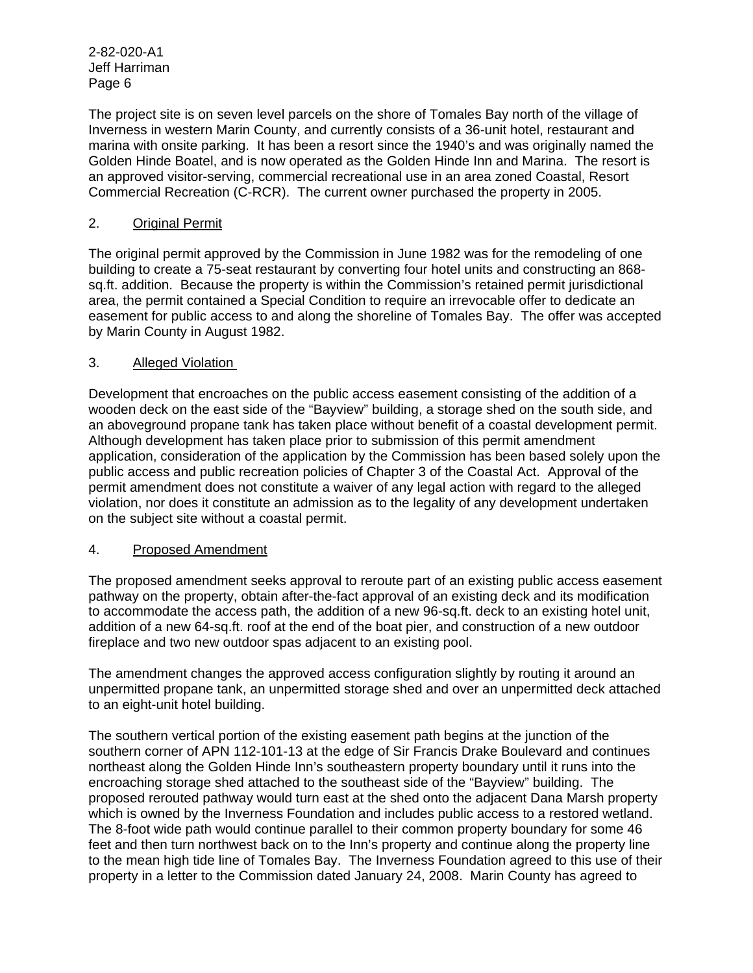The project site is on seven level parcels on the shore of Tomales Bay north of the village of Inverness in western Marin County, and currently consists of a 36-unit hotel, restaurant and marina with onsite parking. It has been a resort since the 1940's and was originally named the Golden Hinde Boatel, and is now operated as the Golden Hinde Inn and Marina. The resort is an approved visitor-serving, commercial recreational use in an area zoned Coastal, Resort Commercial Recreation (C-RCR). The current owner purchased the property in 2005.

## 2. Original Permit

The original permit approved by the Commission in June 1982 was for the remodeling of one building to create a 75-seat restaurant by converting four hotel units and constructing an 868 sq.ft. addition. Because the property is within the Commission's retained permit jurisdictional area, the permit contained a Special Condition to require an irrevocable offer to dedicate an easement for public access to and along the shoreline of Tomales Bay. The offer was accepted by Marin County in August 1982.

## 3. Alleged Violation

Development that encroaches on the public access easement consisting of the addition of a wooden deck on the east side of the "Bayview" building, a storage shed on the south side, and an aboveground propane tank has taken place without benefit of a coastal development permit. Although development has taken place prior to submission of this permit amendment application, consideration of the application by the Commission has been based solely upon the public access and public recreation policies of Chapter 3 of the Coastal Act. Approval of the permit amendment does not constitute a waiver of any legal action with regard to the alleged violation, nor does it constitute an admission as to the legality of any development undertaken on the subject site without a coastal permit.

## 4. Proposed Amendment

The proposed amendment seeks approval to reroute part of an existing public access easement pathway on the property, obtain after-the-fact approval of an existing deck and its modification to accommodate the access path, the addition of a new 96-sq.ft. deck to an existing hotel unit, addition of a new 64-sq.ft. roof at the end of the boat pier, and construction of a new outdoor fireplace and two new outdoor spas adjacent to an existing pool.

The amendment changes the approved access configuration slightly by routing it around an unpermitted propane tank, an unpermitted storage shed and over an unpermitted deck attached to an eight-unit hotel building.

The southern vertical portion of the existing easement path begins at the junction of the southern corner of APN 112-101-13 at the edge of Sir Francis Drake Boulevard and continues northeast along the Golden Hinde Inn's southeastern property boundary until it runs into the encroaching storage shed attached to the southeast side of the "Bayview" building. The proposed rerouted pathway would turn east at the shed onto the adjacent Dana Marsh property which is owned by the Inverness Foundation and includes public access to a restored wetland. The 8-foot wide path would continue parallel to their common property boundary for some 46 feet and then turn northwest back on to the Inn's property and continue along the property line to the mean high tide line of Tomales Bay. The Inverness Foundation agreed to this use of their property in a letter to the Commission dated January 24, 2008. Marin County has agreed to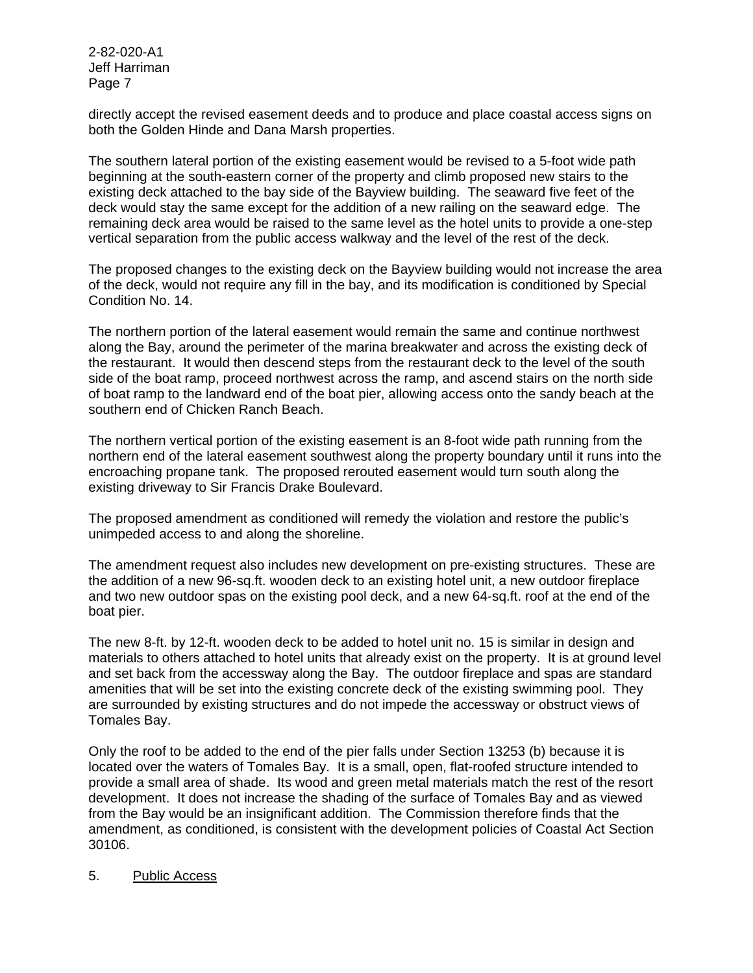directly accept the revised easement deeds and to produce and place coastal access signs on both the Golden Hinde and Dana Marsh properties.

The southern lateral portion of the existing easement would be revised to a 5-foot wide path beginning at the south-eastern corner of the property and climb proposed new stairs to the existing deck attached to the bay side of the Bayview building. The seaward five feet of the deck would stay the same except for the addition of a new railing on the seaward edge. The remaining deck area would be raised to the same level as the hotel units to provide a one-step vertical separation from the public access walkway and the level of the rest of the deck.

The proposed changes to the existing deck on the Bayview building would not increase the area of the deck, would not require any fill in the bay, and its modification is conditioned by Special Condition No. 14.

The northern portion of the lateral easement would remain the same and continue northwest along the Bay, around the perimeter of the marina breakwater and across the existing deck of the restaurant. It would then descend steps from the restaurant deck to the level of the south side of the boat ramp, proceed northwest across the ramp, and ascend stairs on the north side of boat ramp to the landward end of the boat pier, allowing access onto the sandy beach at the southern end of Chicken Ranch Beach.

The northern vertical portion of the existing easement is an 8-foot wide path running from the northern end of the lateral easement southwest along the property boundary until it runs into the encroaching propane tank. The proposed rerouted easement would turn south along the existing driveway to Sir Francis Drake Boulevard.

The proposed amendment as conditioned will remedy the violation and restore the public's unimpeded access to and along the shoreline.

The amendment request also includes new development on pre-existing structures. These are the addition of a new 96-sq.ft. wooden deck to an existing hotel unit, a new outdoor fireplace and two new outdoor spas on the existing pool deck, and a new 64-sq.ft. roof at the end of the boat pier.

The new 8-ft. by 12-ft. wooden deck to be added to hotel unit no. 15 is similar in design and materials to others attached to hotel units that already exist on the property. It is at ground level and set back from the accessway along the Bay. The outdoor fireplace and spas are standard amenities that will be set into the existing concrete deck of the existing swimming pool. They are surrounded by existing structures and do not impede the accessway or obstruct views of Tomales Bay.

Only the roof to be added to the end of the pier falls under Section 13253 (b) because it is located over the waters of Tomales Bay. It is a small, open, flat-roofed structure intended to provide a small area of shade. Its wood and green metal materials match the rest of the resort development. It does not increase the shading of the surface of Tomales Bay and as viewed from the Bay would be an insignificant addition. The Commission therefore finds that the amendment, as conditioned, is consistent with the development policies of Coastal Act Section 30106.

## 5. Public Access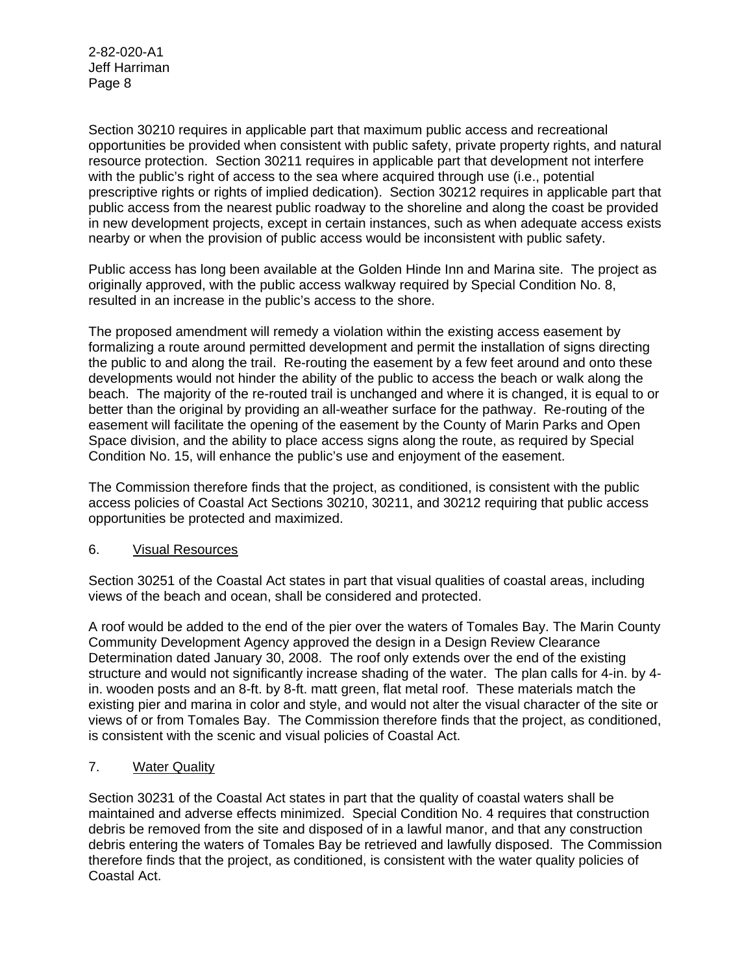Section 30210 requires in applicable part that maximum public access and recreational opportunities be provided when consistent with public safety, private property rights, and natural resource protection. Section 30211 requires in applicable part that development not interfere with the public's right of access to the sea where acquired through use (i.e., potential prescriptive rights or rights of implied dedication). Section 30212 requires in applicable part that public access from the nearest public roadway to the shoreline and along the coast be provided in new development projects, except in certain instances, such as when adequate access exists nearby or when the provision of public access would be inconsistent with public safety.

Public access has long been available at the Golden Hinde Inn and Marina site. The project as originally approved, with the public access walkway required by Special Condition No. 8, resulted in an increase in the public's access to the shore.

The proposed amendment will remedy a violation within the existing access easement by formalizing a route around permitted development and permit the installation of signs directing the public to and along the trail. Re-routing the easement by a few feet around and onto these developments would not hinder the ability of the public to access the beach or walk along the beach. The majority of the re-routed trail is unchanged and where it is changed, it is equal to or better than the original by providing an all-weather surface for the pathway. Re-routing of the easement will facilitate the opening of the easement by the County of Marin Parks and Open Space division, and the ability to place access signs along the route, as required by Special Condition No. 15, will enhance the public's use and enjoyment of the easement.

The Commission therefore finds that the project, as conditioned, is consistent with the public access policies of Coastal Act Sections 30210, 30211, and 30212 requiring that public access opportunities be protected and maximized.

## 6. Visual Resources

Section 30251 of the Coastal Act states in part that visual qualities of coastal areas, including views of the beach and ocean, shall be considered and protected.

A roof would be added to the end of the pier over the waters of Tomales Bay. The Marin County Community Development Agency approved the design in a Design Review Clearance Determination dated January 30, 2008. The roof only extends over the end of the existing structure and would not significantly increase shading of the water. The plan calls for 4-in. by 4 in. wooden posts and an 8-ft. by 8-ft. matt green, flat metal roof. These materials match the existing pier and marina in color and style, and would not alter the visual character of the site or views of or from Tomales Bay. The Commission therefore finds that the project, as conditioned, is consistent with the scenic and visual policies of Coastal Act.

# 7. Water Quality

Section 30231 of the Coastal Act states in part that the quality of coastal waters shall be maintained and adverse effects minimized. Special Condition No. 4 requires that construction debris be removed from the site and disposed of in a lawful manor, and that any construction debris entering the waters of Tomales Bay be retrieved and lawfully disposed. The Commission therefore finds that the project, as conditioned, is consistent with the water quality policies of Coastal Act.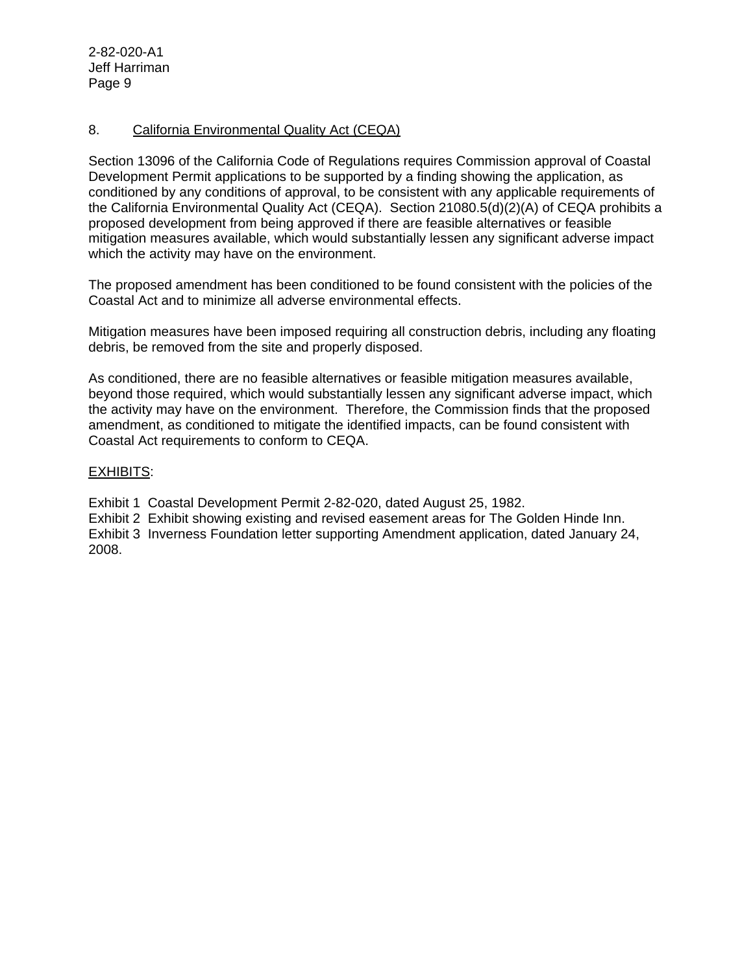## 8. California Environmental Quality Act (CEQA)

Section 13096 of the California Code of Regulations requires Commission approval of Coastal Development Permit applications to be supported by a finding showing the application, as conditioned by any conditions of approval, to be consistent with any applicable requirements of the California Environmental Quality Act (CEQA). Section 21080.5(d)(2)(A) of CEQA prohibits a proposed development from being approved if there are feasible alternatives or feasible mitigation measures available, which would substantially lessen any significant adverse impact which the activity may have on the environment.

The proposed amendment has been conditioned to be found consistent with the policies of the Coastal Act and to minimize all adverse environmental effects.

Mitigation measures have been imposed requiring all construction debris, including any floating debris, be removed from the site and properly disposed.

As conditioned, there are no feasible alternatives or feasible mitigation measures available, beyond those required, which would substantially lessen any significant adverse impact, which the activity may have on the environment. Therefore, the Commission finds that the proposed amendment, as conditioned to mitigate the identified impacts, can be found consistent with Coastal Act requirements to conform to CEQA.

## EXHIBITS:

Exhibit 1 Coastal Development Permit 2-82-020, dated August 25, 1982.

Exhibit 2 Exhibit showing existing and revised easement areas for The Golden Hinde Inn. Exhibit 3 Inverness Foundation letter supporting Amendment application, dated January 24, 2008.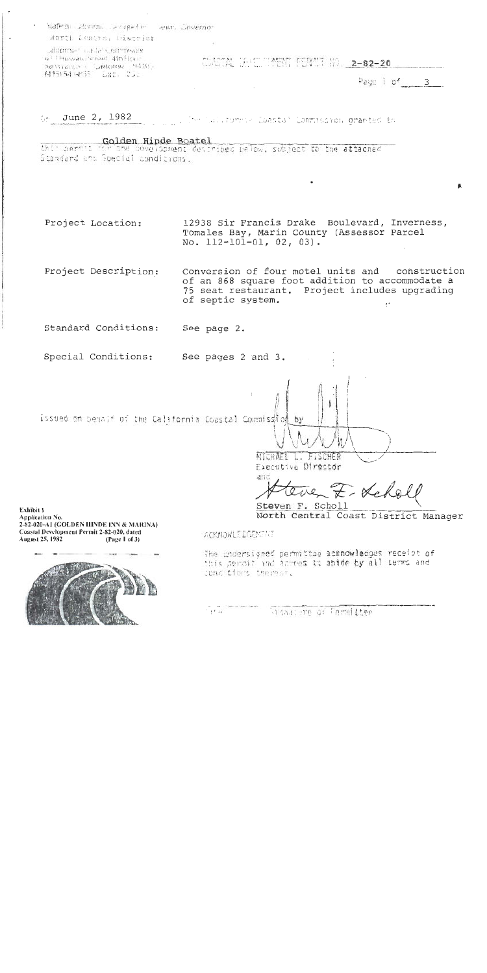State of laborate a capacity and covernor

Worth Central District

additional carde's commission b (THuwali) steel 4th Hour- $25410408$   $-400000$   $-9400$ 

CANTAL UNICLOMENT PERMIT NO. 2-82-20

Page 1 of  $3$ 

 $\sim$  June 2, 1982 The California Coastal Commission granted to

Golden Hinde Boatel<br>this permit for the sevelopment detribed relow, subject to the attached Standard and Goecial conditions.

12938 Sir Francis Drake Boulevard, Inverness, Project Location: Tomales Bay, Marin County (Assessor Parcel No. 112-101-01, 02, 03).

Project Description: Conversion of four motel units and construction of an 868 square foot addition to accommodate a 75 seat restaurant. Project includes upgrading of septic system.

Standard Conditions: See page 2.

Special Conditions: See pages 2 and 3.

issued on behalf of the California Coastal Commission

by MICHAEL L. FISCHER Executive Director

anf F-Les

Steven F. Scholl North Central Coast District Manager

Exhibit I **Application No.** 2-82-020-AI (GOLDEN HINDE INN & MARINA) Coastal Development Permit 2-82-020, dated August 25, 1982 (Page 1 of 3)



ACKNOWLEDGENTIT

The undersigned permittee acknowledges receipt of this permit and acrees to abide by all terms and come tions thereor.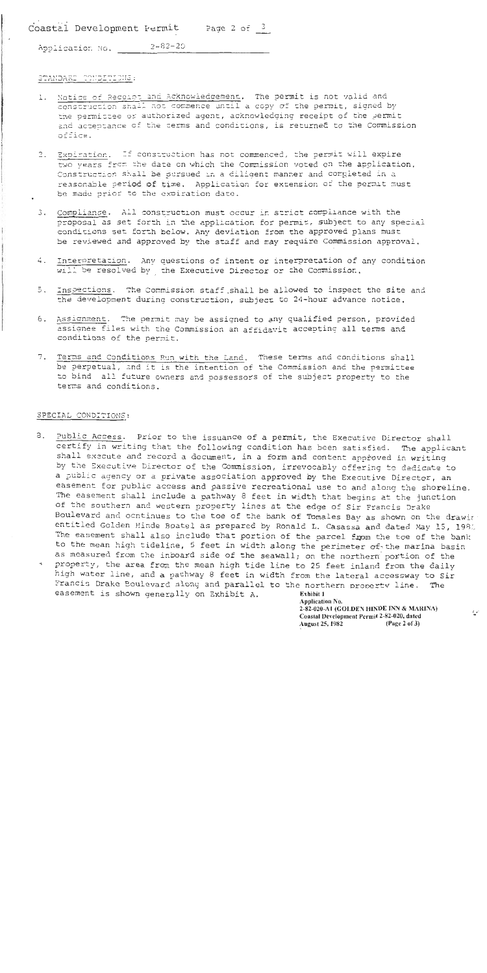Coastal Development Fermit Page 2 of  $\frac{3}{2}$ 

 $2 - 82 - 20$ Application No.

#### STANDARD CONDITIONS:

- 1. Notice of Receipt and Acknowledgement, The permit is not valid and construction shall not commence until a copy of the permit, signed by the permittee or authorized agent, acknowledging receipt of the permit and acceptance of the terms and conditions, is returned to the Commission office.
- 2. Expiration. If construction has not commenced, the permit will expire two vears from the date on which the Commission voted on the apolication. Construction shall be sursued in a diligent manner and completed in a reasonable period of time. Application for extension of the permit must be made prior to the expiration date.
- 3. Compliance. All construction must occur in strict compliance with the proposal as set forth in the application for permit, subject to any special conditions set forth below. Any deviation from the approved plans must be reviewed and approved by the staff and may require Commission approval.
- Interpretation. Any questions of intent or interpretation of any condition 4. will be resolved by the Executive Director or the Commission.
- 5. Inspections. The Commission staff shall be allowed to inspect the site and the development during construction, subject to 24-hour advance notice,
- 6. Assignment. The permit may be assigned to any qualified person, provided assignee files with the Commission an affidavit accepting all terms and conditions of the permit.
- 7. Terms and Conditions Run with the Land, These terms and conditions shall be perpetual, and it is the intention of the Commission and the permittee to bind all future owners and possessors of the subject property to the terms and conditions.

#### SPECIAL CONDITIONS:

3. Public Access. Prior to the issuance of a permit, the Executive Director shall certify in writing that the following condition has been satisfied. The applicant shall execute and record a document, in a form and content approved in writing by the Executive Director of the Commission, irrevocably offering to dedicate to a public agency or a private association approved by the Executive Director, an easement for public access and passive recreational use to and along the shoreline. The easement shall include a pathway 8 feet in width that begins at the junction of the southern and western property lines at the edge of Sir Francis Drake Boulevard and ocntinues to the toe of the bank of Tomales Bay as shown on the drawin entitled Golden Hinde Boatel as prepared by Ronald L. Casassa and dated May 15, 1982 The easement shall also include that portion of the parcel from the toe of the bank to the mean high tideline, 5 feet in width along the perimeter of the marina basin as measured from the inboard side of the seawall; on the northern portion of the property, the area from the mean high tide line to 25 feet inland from the daily high water line, and a pathway 8 feet in width from the lateral accessway to Sir Francis Drake Boulevard along and parallel to the northern property line. The easement is shown generally on Exhibit A. Exhibit 1

**Application No.** 2-82-020-A1 (GOLDEN HINDE INN & MARINA) Coastal Development Permit 2-82-020, dated **August 25, 1982**  $(P<sub>2</sub> c 2 of 3)$ 

 $\mathcal{L}(\mathcal{E})$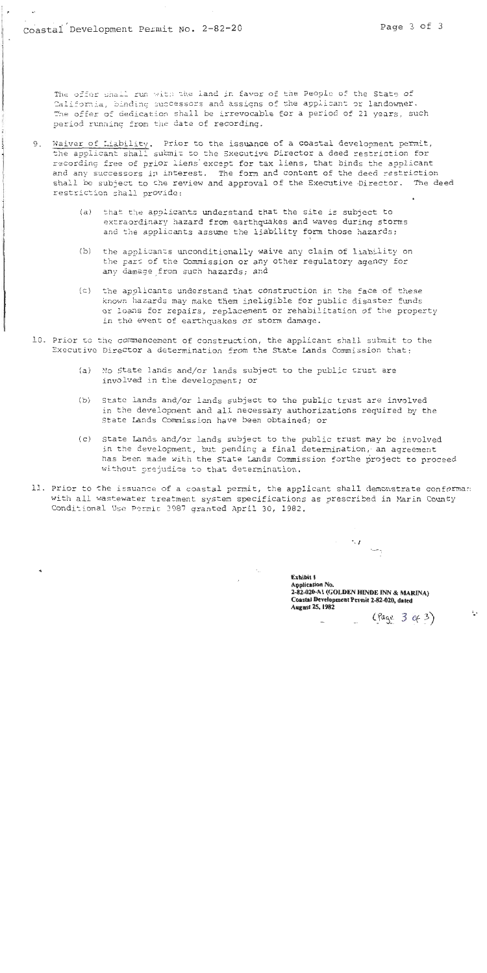The offer shall run with the land in favor of the People of the State of California, binding successors and assigns of the applicant or landowner. The offer of dedication shall be irrevocable for a period of 21 years, such period running from the date of recording.

- 9. Waiver of Liability. Prior to the issuance of a coastal development permit, the applicant shall submit to the Executive Director a deed restriction for recording free of prior liens except for tax liens, that binds the applicant and any successors in interest. The form and content of the deed restriction shall be subject to the review and approval of the Executive Director. The deed restriction shall provide:
	- that the applicants understand that the site is subject to  $(a)$ extraordinary hazard from earthquakes and waves during storms and the applicants assume the liability form those hazards;
	- $(b)$ the applicants unconditionally waive any claim of liability on the part of the Commission or any other regulatory agency for any damage from such hazards; and
	- (c) the applicants understand that construction in the face of these known hazards may make them ineligible for public disaster funds or loans for repairs, replacement or rehabilitation of the property in the event of earthquakes or storm damage.
- 10. Prior to the commencement of construction, the applicant shall submit to the Executive Director a determination from the State Lands Commission that:
	- (a) No State lands and/or lands subject to the public trust are involved in the development; or
	- $(b)$ State lands and/or lands subject to the public trust are involved in the development and all necessary authorizations required by the State Lands Commission have been obtained; or
	- (c) State Lands and/or lands subject to the public trust may be involved in the development, but pending a final determination, an agreement has been made with the State Lands Commission forthe project to proceed without prejudice to that determination.
- 11. Prior to the issuance of a coastal permit, the applicant shall demonstrate conforman with all wastewater treatment system specifications as prescribed in Marin County Conditional Use Permit 3987 granted April 30, 1982.

Exhibit 1 **Application No.** 2-82-020-A1 (GOLDEN HINDE INN & MARINA) Coastal Development Permit 2-82-020, dated **August 25, 1982**  $(Page 3 9 3)$ 

 $\sim$ 

 $\mathbb{L}^*$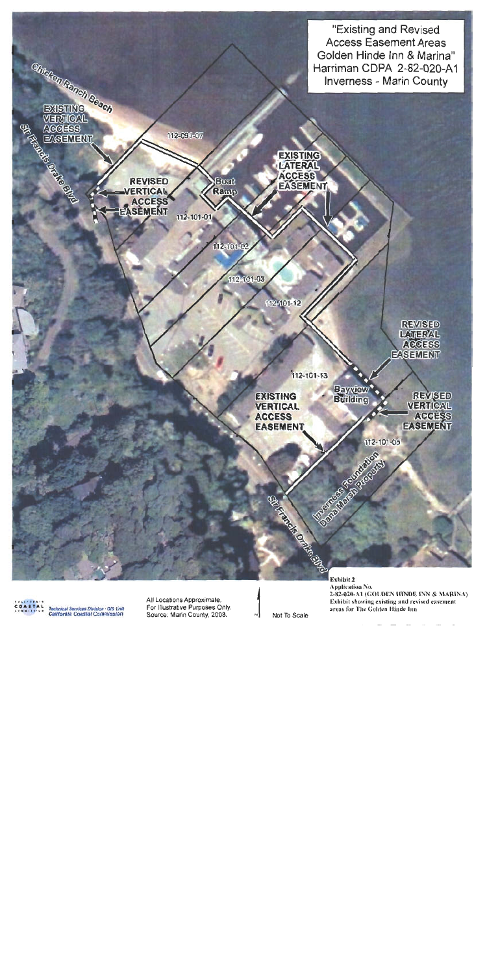

Technical Services Division - GIS Unit<br>California Coastal Commission

All Locations Approximate, For Illustrative Purposes Only. Source, Marin County, 2008.

Not To Scale

Exhibit 2 Application No. 2-82-020-A1 (GOLDEN HINDE INN & MARINA) Exhibit showing existing and revised easement areas for The Golden Hinde Inn